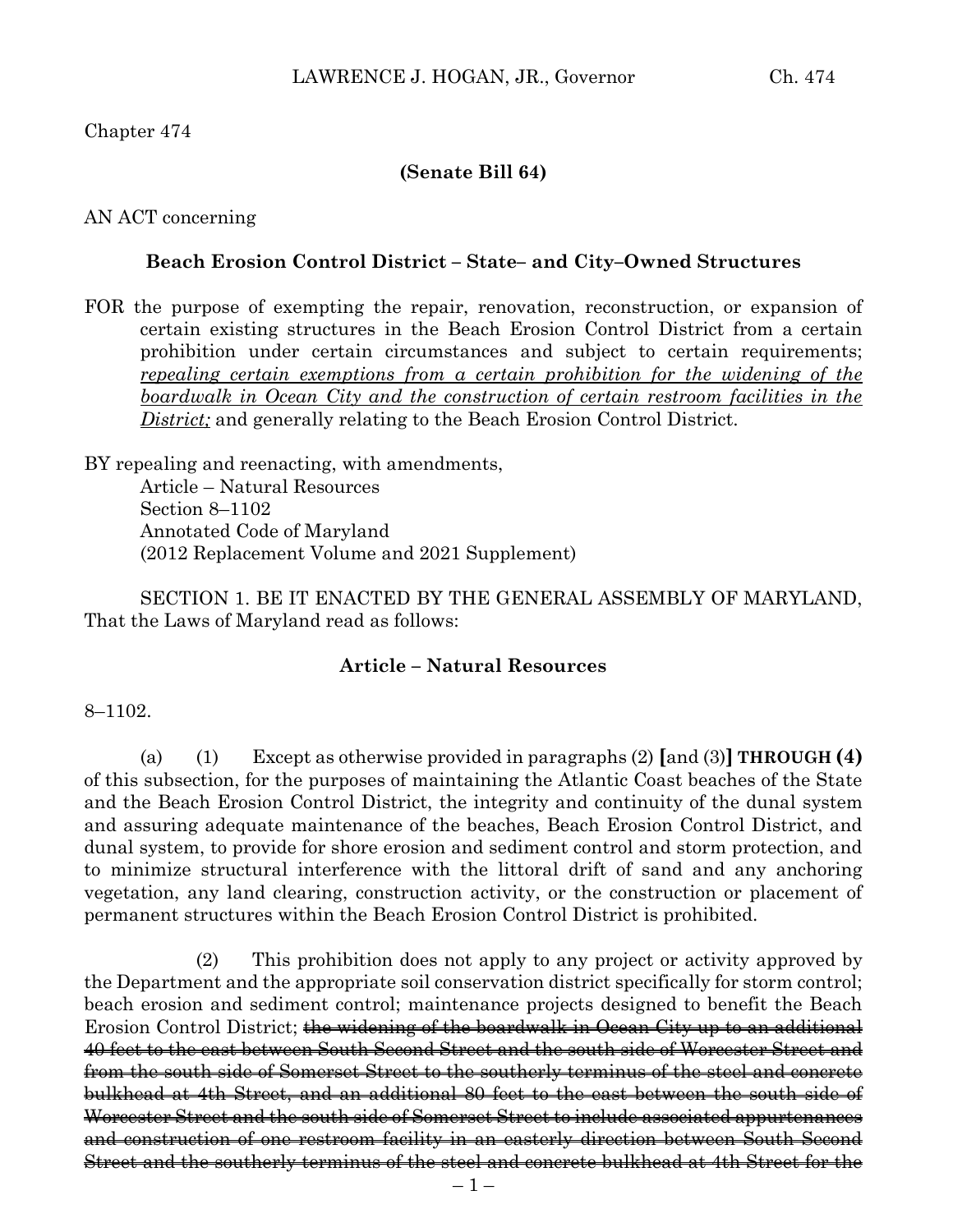# Chapter 474

# **(Senate Bill 64)**

## AN ACT concerning

## **Beach Erosion Control District – State– and City–Owned Structures**

FOR the purpose of exempting the repair, renovation, reconstruction, or expansion of certain existing structures in the Beach Erosion Control District from a certain prohibition under certain circumstances and subject to certain requirements; *repealing certain exemptions from a certain prohibition for the widening of the boardwalk in Ocean City and the construction of certain restroom facilities in the District;* and generally relating to the Beach Erosion Control District.

BY repealing and reenacting, with amendments, Article – Natural Resources Section 8–1102 Annotated Code of Maryland (2012 Replacement Volume and 2021 Supplement)

SECTION 1. BE IT ENACTED BY THE GENERAL ASSEMBLY OF MARYLAND, That the Laws of Maryland read as follows:

#### **Article – Natural Resources**

#### 8–1102.

(a) (1) Except as otherwise provided in paragraphs (2) **[**and (3)**] THROUGH (4)** of this subsection, for the purposes of maintaining the Atlantic Coast beaches of the State and the Beach Erosion Control District, the integrity and continuity of the dunal system and assuring adequate maintenance of the beaches, Beach Erosion Control District, and dunal system, to provide for shore erosion and sediment control and storm protection, and to minimize structural interference with the littoral drift of sand and any anchoring vegetation, any land clearing, construction activity, or the construction or placement of permanent structures within the Beach Erosion Control District is prohibited.

(2) This prohibition does not apply to any project or activity approved by the Department and the appropriate soil conservation district specifically for storm control; beach erosion and sediment control; maintenance projects designed to benefit the Beach Erosion Control District; the widening of the boardwalk in Ocean City up to an additional 40 feet to the east between South Second Street and the south side of Worcester Street and from the south side of Somerset Street to the southerly terminus of the steel and concrete bulkhead at 4th Street, and an additional 80 feet to the east between the south side of Worcester Street and the south side of Somerset Street to include associated appurtenances and construction of one restroom facility in an easterly direction between South Second Street and the southerly terminus of the steel and concrete bulkhead at 4th Street for the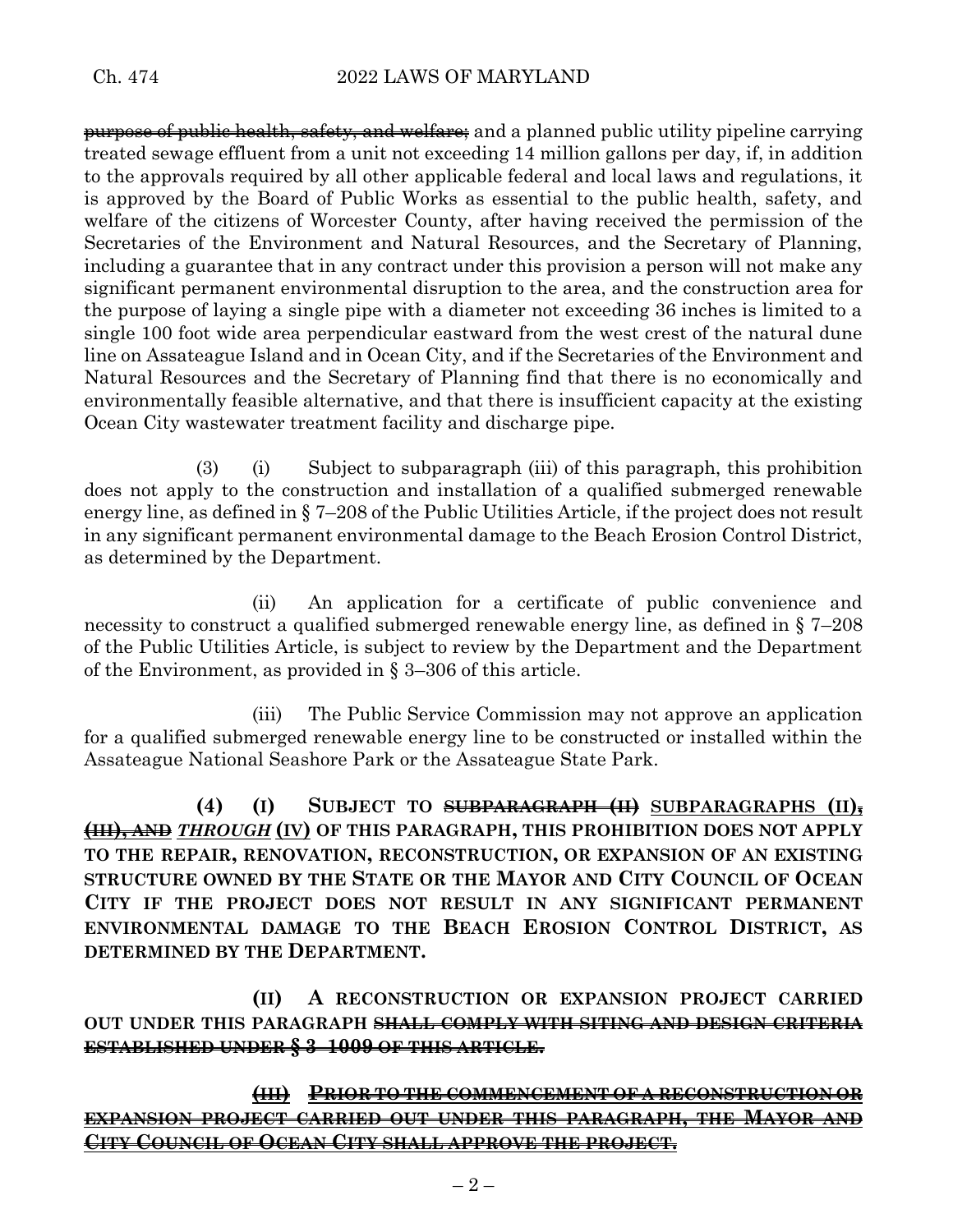purpose of public health, safety, and welfare; and a planned public utility pipeline carrying treated sewage effluent from a unit not exceeding 14 million gallons per day, if, in addition to the approvals required by all other applicable federal and local laws and regulations, it is approved by the Board of Public Works as essential to the public health, safety, and welfare of the citizens of Worcester County, after having received the permission of the Secretaries of the Environment and Natural Resources, and the Secretary of Planning, including a guarantee that in any contract under this provision a person will not make any significant permanent environmental disruption to the area, and the construction area for the purpose of laying a single pipe with a diameter not exceeding 36 inches is limited to a single 100 foot wide area perpendicular eastward from the west crest of the natural dune line on Assateague Island and in Ocean City, and if the Secretaries of the Environment and Natural Resources and the Secretary of Planning find that there is no economically and environmentally feasible alternative, and that there is insufficient capacity at the existing Ocean City wastewater treatment facility and discharge pipe.

(3) (i) Subject to subparagraph (iii) of this paragraph, this prohibition does not apply to the construction and installation of a qualified submerged renewable energy line, as defined in § 7–208 of the Public Utilities Article, if the project does not result in any significant permanent environmental damage to the Beach Erosion Control District, as determined by the Department.

(ii) An application for a certificate of public convenience and necessity to construct a qualified submerged renewable energy line, as defined in § 7–208 of the Public Utilities Article, is subject to review by the Department and the Department of the Environment, as provided in § 3–306 of this article.

(iii) The Public Service Commission may not approve an application for a qualified submerged renewable energy line to be constructed or installed within the Assateague National Seashore Park or the Assateague State Park.

**(4) (I) SUBJECT TO SUBPARAGRAPH (II) SUBPARAGRAPHS (II), (III), AND** *THROUGH* **(IV) OF THIS PARAGRAPH, THIS PROHIBITION DOES NOT APPLY TO THE REPAIR, RENOVATION, RECONSTRUCTION, OR EXPANSION OF AN EXISTING STRUCTURE OWNED BY THE STATE OR THE MAYOR AND CITY COUNCIL OF OCEAN CITY IF THE PROJECT DOES NOT RESULT IN ANY SIGNIFICANT PERMANENT ENVIRONMENTAL DAMAGE TO THE BEACH EROSION CONTROL DISTRICT, AS DETERMINED BY THE DEPARTMENT.**

**(II) A RECONSTRUCTION OR EXPANSION PROJECT CARRIED OUT UNDER THIS PARAGRAPH SHALL COMPLY WITH SITING AND DESIGN CRITERIA ESTABLISHED UNDER § 3–1009 OF THIS ARTICLE.**

**(III) PRIOR TO THE COMMENCEMENT OF A RECONSTRUCTION OR EXPANSION PROJECT CARRIED OUT UNDER THIS PARAGRAPH, THE MAYOR AND CITY COUNCIL OF OCEAN CITY SHALL APPROVE THE PROJECT.**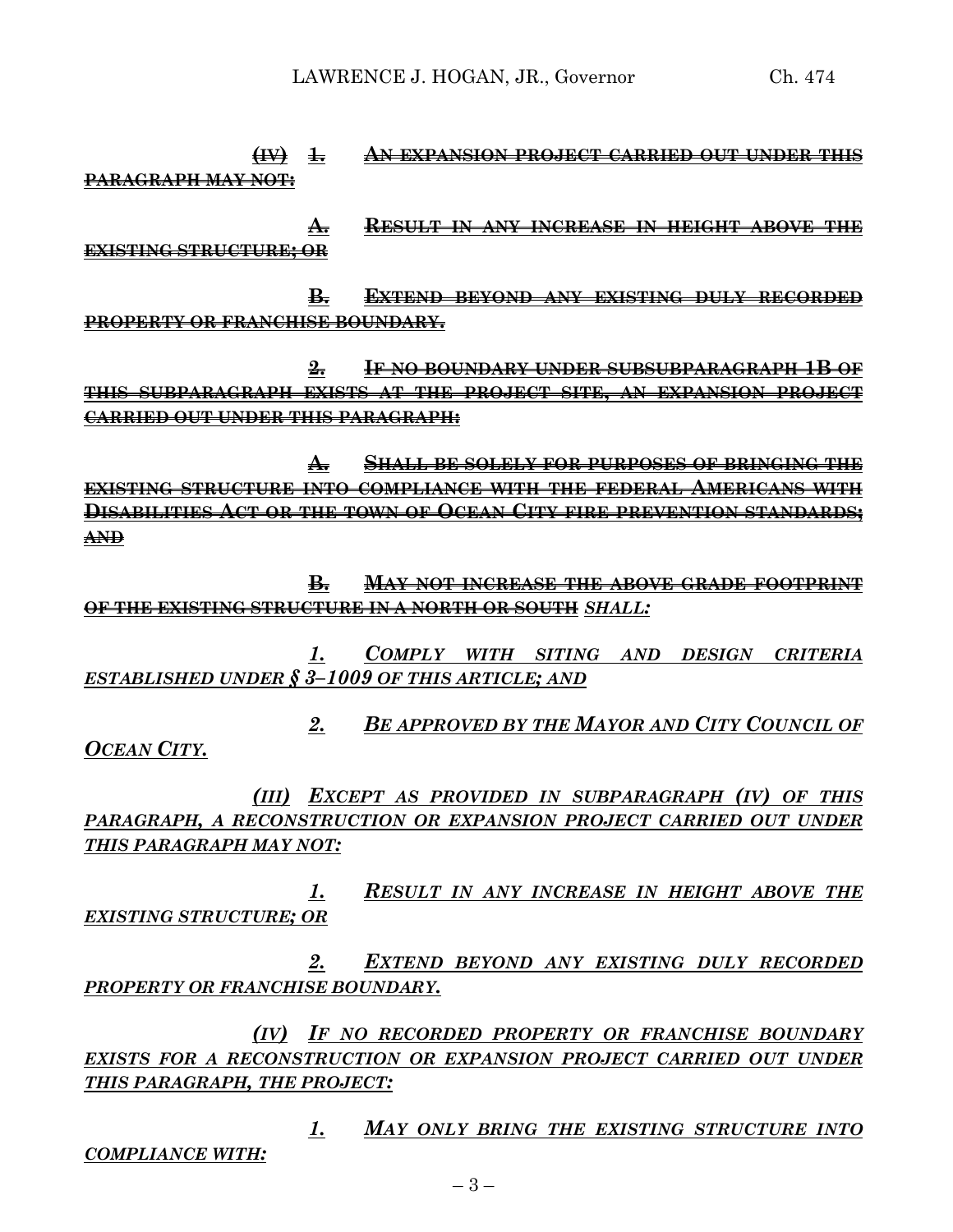LAWRENCE J. HOGAN, JR., Governor Ch. 474

**(IV) 1. AN EXPANSION PROJECT CARRIED OUT UNDER THIS PARAGRAPH MAY NOT:**

**A. RESULT IN ANY INCREASE IN HEIGHT ABOVE THE EXISTING STRUCTURE; OR**

**B. EXTEND BEYOND ANY EXISTING DULY RECORDED PROPERTY OR FRANCHISE BOUNDARY.**

**2. IF NO BOUNDARY UNDER SUBSUBPARAGRAPH 1B OF THIS SUBPARAGRAPH EXISTS AT THE PROJECT SITE, AN EXPANSION PROJECT CARRIED OUT UNDER THIS PARAGRAPH:**

**A. SHALL BE SOLELY FOR PURPOSES OF BRINGING THE EXISTING STRUCTURE INTO COMPLIANCE WITH THE FEDERAL AMERICANS WITH DISABILITIES ACT OR THE TOWN OF OCEAN CITY FIRE PREVENTION STANDARDS; AND**

**B. MAY NOT INCREASE THE ABOVE GRADE FOOTPRINT OF THE EXISTING STRUCTURE IN A NORTH OR SOUTH** *SHALL:*

*1. COMPLY WITH SITING AND DESIGN CRITERIA ESTABLISHED UNDER § 3–1009 OF THIS ARTICLE; AND*

*2. BE APPROVED BY THE MAYOR AND CITY COUNCIL OF OCEAN CITY.*

*(III) EXCEPT AS PROVIDED IN SUBPARAGRAPH (IV) OF THIS PARAGRAPH, A RECONSTRUCTION OR EXPANSION PROJECT CARRIED OUT UNDER THIS PARAGRAPH MAY NOT:*

*1. RESULT IN ANY INCREASE IN HEIGHT ABOVE THE EXISTING STRUCTURE; OR*

*2. EXTEND BEYOND ANY EXISTING DULY RECORDED PROPERTY OR FRANCHISE BOUNDARY.*

*(IV) IF NO RECORDED PROPERTY OR FRANCHISE BOUNDARY EXISTS FOR A RECONSTRUCTION OR EXPANSION PROJECT CARRIED OUT UNDER THIS PARAGRAPH, THE PROJECT:*

*1. MAY ONLY BRING THE EXISTING STRUCTURE INTO COMPLIANCE WITH:*